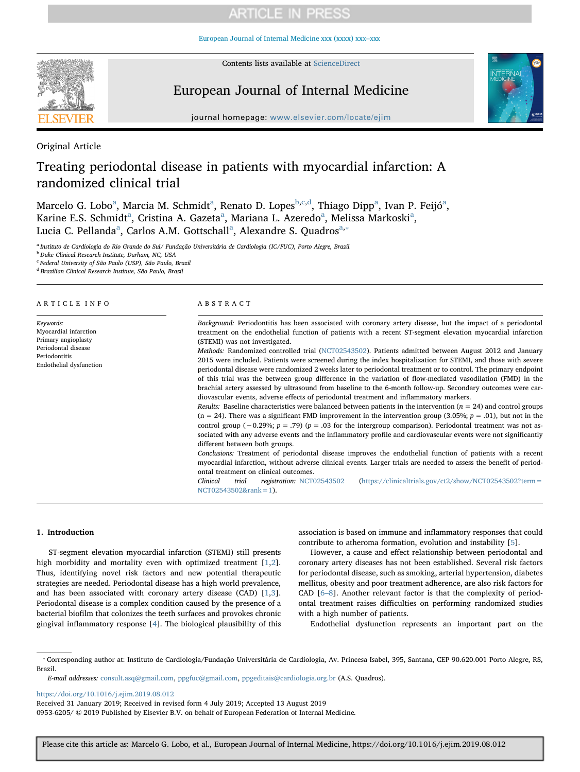# **ARTICLE IN PRESS**

[European Journal of Internal Medicine xxx \(xxxx\) xxx–xxx](https://doi.org/10.1016/j.ejim.2019.08.012)



Contents lists available at [ScienceDirect](http://www.sciencedirect.com/science/journal/09536205)

## European Journal of Internal Medicine



journal homepage: [www.elsevier.com/locate/ejim](https://www.elsevier.com/locate/ejim)

Original Article

# Treating periodontal disease in patients with myocardial infarction: A randomized clinical trial

M[a](#page-0-0)rcelo G. Lo[b](#page-0-1)o<sup>a</sup>, Mar[c](#page-0-2)ia M. Schmi[d](#page-0-3)t<sup>a</sup>, Renato D. Lopes<sup>b,c,d</sup>, Thiago Dipp<sup>a</sup>, Ivan P. Feijó<sup>a</sup>, K[a](#page-0-0)rine E.S. Schmidt<sup>a</sup>, Cristina A. Gazeta<sup>a</sup>, Mariana L. Azeredo<sup>a</sup>, Melissa Markoski<sup>a</sup>, Luci[a](#page-0-0) C. Pellanda<sup>a</sup>, Carlos A.M. Gottschall<sup>a</sup>, Alexandre S. Quadros<sup>a,\*</sup>

<span id="page-0-0"></span><sup>a</sup> Instituto de Cardiologia do Rio Grande do Sul/ Fundação Universitária de Cardiologia (IC/FUC), Porto Alegre, Brazil

<span id="page-0-1"></span><sup>b</sup> Duke Clinical Research Institute, Durham, NC, USA

<span id="page-0-2"></span><sup>c</sup> Federal University of São Paulo (USP), São Paulo, Brazil

<span id="page-0-3"></span><sup>d</sup> Brazilian Clinical Research Institute, São Paulo, Brazil

#### ARTICLE INFO

Keywords: Myocardial infarction Primary angioplasty Periodontal disease Periodontitis Endothelial dysfunction

#### ABSTRACT

Background: Periodontitis has been associated with coronary artery disease, but the impact of a periodontal treatment on the endothelial function of patients with a recent ST-segment elevation myocardial infarction (STEMI) was not investigated.

Methods: Randomized controlled trial [\(NCT02543502\)](http://clinicaltrials.gov/show/NCT02543502). Patients admitted between August 2012 and January 2015 were included. Patients were screened during the index hospitalization for STEMI, and those with severe periodontal disease were randomized 2 weeks later to periodontal treatment or to control. The primary endpoint of this trial was the between group difference in the variation of flow-mediated vasodilation (FMD) in the brachial artery assessed by ultrasound from baseline to the 6-month follow-up. Secondary outcomes were cardiovascular events, adverse effects of periodontal treatment and inflammatory markers.

Results: Baseline characteristics were balanced between patients in the intervention ( $n = 24$ ) and control groups  $(n = 24)$ . There was a significant FMD improvement in the intervention group (3.05%;  $p = .01$ ), but not in the control group (−0.29%; p = .79) (p = .03 for the intergroup comparison). Periodontal treatment was not associated with any adverse events and the inflammatory profile and cardiovascular events were not significantly different between both groups.

Conclusions: Treatment of periodontal disease improves the endothelial function of patients with a recent myocardial infarction, without adverse clinical events. Larger trials are needed to assess the benefit of periodontal treatment on clinical outcomes.

Clinical trial registration: [NCT02543502](http://clinicaltrials.gov/show/NCT02543502) ([https://clinicaltrials.gov/ct2/show/NCT02543502?term=](https://clinicaltrials.gov/ct2/show/NCT02543502?term=NCT02543502&rank=1) [NCT02543502&rank=1](https://clinicaltrials.gov/ct2/show/NCT02543502?term=NCT02543502&rank=1)).

#### 1. Introduction

ST-segment elevation myocardial infarction (STEMI) still presents high morbidity and mortality even with optimized treatment [[1](#page-4-0),[2](#page-4-1)]. Thus, identifying novel risk factors and new potential therapeutic strategies are needed. Periodontal disease has a high world prevalence, and has been associated with coronary artery disease (CAD) [[1](#page-4-0),[3](#page-4-2)]. Periodontal disease is a complex condition caused by the presence of a bacterial biofilm that colonizes the teeth surfaces and provokes chronic gingival inflammatory response [[4](#page-4-3)]. The biological plausibility of this association is based on immune and inflammatory responses that could contribute to atheroma formation, evolution and instability [\[5\]](#page-4-4).

However, a cause and effect relationship between periodontal and coronary artery diseases has not been established. Several risk factors for periodontal disease, such as smoking, arterial hypertension, diabetes mellitus, obesity and poor treatment adherence, are also risk factors for CAD [\[6](#page-4-5)–8]. Another relevant factor is that the complexity of periodontal treatment raises difficulties on performing randomized studies with a high number of patients.

Endothelial dysfunction represents an important part on the

<https://doi.org/10.1016/j.ejim.2019.08.012>

Received 31 January 2019; Received in revised form 4 July 2019; Accepted 13 August 2019

0953-6205/ © 2019 Published by Elsevier B.V. on behalf of European Federation of Internal Medicine.

<span id="page-0-4"></span><sup>⁎</sup> Corresponding author at: Instituto de Cardiologia/Fundação Universitária de Cardiologia, Av. Princesa Isabel, 395, Santana, CEP 90.620.001 Porto Alegre, RS, Brazil.

E-mail addresses: [consult.asq@gmail.com](mailto:consult.asq@gmail.com), [ppgfuc@gmail.com](mailto:ppgfuc@gmail.com), [ppgeditais@cardiologia.org.br](mailto:ppgeditais@cardiologia.org.br) (A.S. Quadros).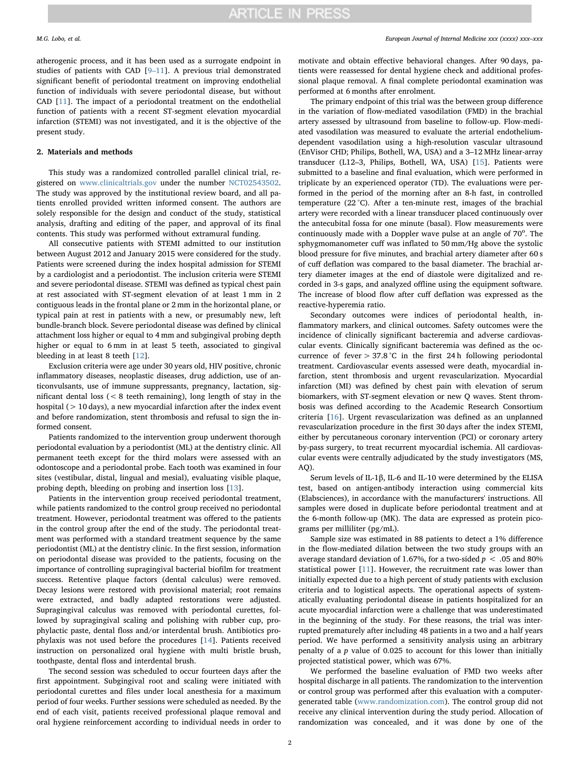atherogenic process, and it has been used as a surrogate endpoint in studies of patients with CAD [9–[11](#page-4-6)]. A previous trial demonstrated significant benefit of periodontal treatment on improving endothelial function of individuals with severe periodontal disease, but without CAD [\[11](#page-4-7)]. The impact of a periodontal treatment on the endothelial function of patients with a recent ST-segment elevation myocardial infarction (STEMI) was not investigated, and it is the objective of the present study.

#### 2. Materials and methods

This study was a randomized controlled parallel clinical trial, registered on [www.clinicaltrials.gov](http://www.clinicaltrials.gov) under the number [NCT02543502](http://clinicaltrials.gov/show/NCT02543502). The study was approved by the institutional review board, and all patients enrolled provided written informed consent. The authors are solely responsible for the design and conduct of the study, statistical analysis, drafting and editing of the paper, and approval of its final contents. This study was performed without extramural funding.

All consecutive patients with STEMI admitted to our institution between August 2012 and January 2015 were considered for the study. Patients were screened during the index hospital admission for STEMI by a cardiologist and a periodontist. The inclusion criteria were STEMI and severe periodontal disease. STEMI was defined as typical chest pain at rest associated with ST-segment elevation of at least 1 mm in 2 contiguous leads in the frontal plane or 2 mm in the horizontal plane, or typical pain at rest in patients with a new, or presumably new, left bundle-branch block. Severe periodontal disease was defined by clinical attachment loss higher or equal to 4 mm and subgingival probing depth higher or equal to 6 mm in at least 5 teeth, associated to gingival bleeding in at least 8 teeth [\[12](#page-4-8)].

Exclusion criteria were age under 30 years old, HIV positive, chronic inflammatory diseases, neoplastic diseases, drug addiction, use of anticonvulsants, use of immune suppressants, pregnancy, lactation, significant dental loss  $\zeta$  ( $\zeta$  8 teeth remaining), long length of stay in the hospital (> 10 days), a new myocardial infarction after the index event and before randomization, stent thrombosis and refusal to sign the informed consent.

Patients randomized to the intervention group underwent thorough periodontal evaluation by a periodontist (ML) at the dentistry clinic. All permanent teeth except for the third molars were assessed with an odontoscope and a periodontal probe. Each tooth was examined in four sites (vestibular, distal, lingual and mesial), evaluating visible plaque, probing depth, bleeding on probing and insertion loss [[13\]](#page-4-9).

Patients in the intervention group received periodontal treatment, while patients randomized to the control group received no periodontal treatment. However, periodontal treatment was offered to the patients in the control group after the end of the study. The periodontal treatment was performed with a standard treatment sequence by the same periodontist (ML) at the dentistry clinic. In the first session, information on periodontal disease was provided to the patients, focusing on the importance of controlling supragingival bacterial biofilm for treatment success. Retentive plaque factors (dental calculus) were removed. Decay lesions were restored with provisional material; root remains were extracted, and badly adapted restorations were adjusted. Supragingival calculus was removed with periodontal curettes, followed by supragingival scaling and polishing with rubber cup, prophylactic paste, dental floss and/or interdental brush. Antibiotics prophylaxis was not used before the procedures [\[14](#page-4-10)]. Patients received instruction on personalized oral hygiene with multi bristle brush, toothpaste, dental floss and interdental brush.

The second session was scheduled to occur fourteen days after the first appointment. Subgingival root and scaling were initiated with periodontal curettes and files under local anesthesia for a maximum period of four weeks. Further sessions were scheduled as needed. By the end of each visit, patients received professional plaque removal and oral hygiene reinforcement according to individual needs in order to motivate and obtain effective behavioral changes. After 90 days, patients were reassessed for dental hygiene check and additional professional plaque removal. A final complete periodontal examination was performed at 6 months after enrolment.

The primary endpoint of this trial was the between group difference in the variation of flow-mediated vasodilation (FMD) in the brachial artery assessed by ultrasound from baseline to follow-up. Flow-mediated vasodilation was measured to evaluate the arterial endotheliumdependent vasodilation using a high-resolution vascular ultrasound (EnVisor CHD; Philips, Bothell, WA, USA) and a 3–12 MHz linear-array transducer (L12–3, Philips, Bothell, WA, USA) [[15\]](#page-4-11). Patients were submitted to a baseline and final evaluation, which were performed in triplicate by an experienced operator (TD). The evaluations were performed in the period of the morning after an 8-h fast, in controlled temperature (22 °C). After a ten-minute rest, images of the brachial artery were recorded with a linear transducer placed continuously over the antecubital fossa for one minute (basal). Flow measurements were continuously made with a Doppler wave pulse at an angle of 70°. The sphygmomanometer cuff was inflated to 50 mm/Hg above the systolic blood pressure for five minutes, and brachial artery diameter after 60 s of cuff deflation was compared to the basal diameter. The brachial artery diameter images at the end of diastole were digitalized and recorded in 3-s gaps, and analyzed offline using the equipment software. The increase of blood flow after cuff deflation was expressed as the reactive-hyperemia ratio.

Secondary outcomes were indices of periodontal health, inflammatory markers, and clinical outcomes. Safety outcomes were the incidence of clinically significant bacteremia and adverse cardiovascular events. Clinically significant bacteremia was defined as the occurrence of fever > 37.8 °C in the first 24 h following periodontal treatment. Cardiovascular events assessed were death, myocardial infarction, stent thrombosis and urgent revascularization. Myocardial infarction (MI) was defined by chest pain with elevation of serum biomarkers, with ST-segment elevation or new Q waves. Stent thrombosis was defined according to the Academic Research Consortium criteria [\[16](#page-4-12)]. Urgent revascularization was defined as an unplanned revascularization procedure in the first 30 days after the index STEMI, either by percutaneous coronary intervention (PCI) or coronary artery by-pass surgery, to treat recurrent myocardial ischemia. All cardiovascular events were centrally adjudicated by the study investigators (MS,  $AO$ ).

Serum levels of IL-1β, IL-6 and IL-10 were determined by the ELISA test, based on antigen-antibody interaction using commercial kits (Elabsciences), in accordance with the manufacturers' instructions. All samples were dosed in duplicate before periodontal treatment and at the 6-month follow-up (MK). The data are expressed as protein picograms per milliliter (pg/mL).

Sample size was estimated in 88 patients to detect a 1% difference in the flow-mediated dilation between the two study groups with an average standard deviation of 1.67%, for a two-sided  $p < .05$  and 80% statistical power [[11\]](#page-4-7). However, the recruitment rate was lower than initially expected due to a high percent of study patients with exclusion criteria and to logistical aspects. The operational aspects of systematically evaluating periodontal disease in patients hospitalized for an acute myocardial infarction were a challenge that was underestimated in the beginning of the study. For these reasons, the trial was interrupted prematurely after including 48 patients in a two and a half years period. We have performed a sensitivity analysis using an arbitrary penalty of a p value of 0.025 to account for this lower than initially projected statistical power, which was 67%.

We performed the baseline evaluation of FMD two weeks after hospital discharge in all patients. The randomization to the intervention or control group was performed after this evaluation with a computergenerated table [\(www.randomization.com\)](http://www.randomization.com). The control group did not receive any clinical intervention during the study period. Allocation of randomization was concealed, and it was done by one of the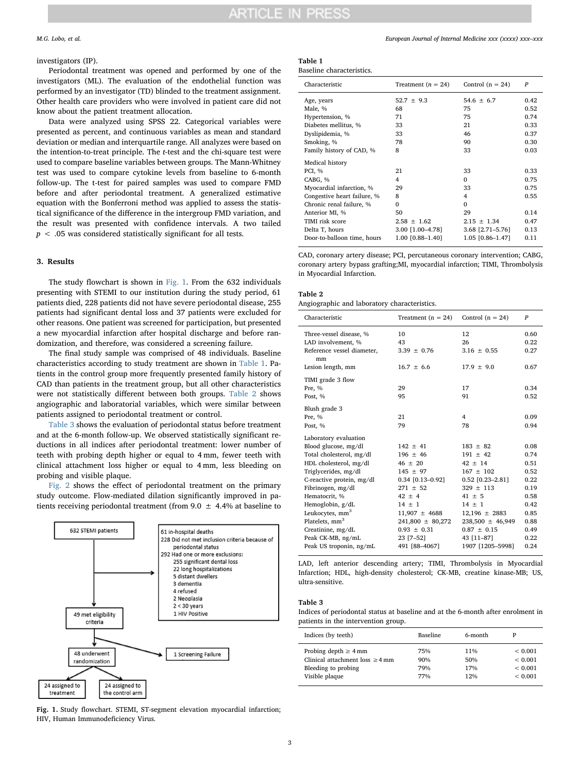## ARTICLE IN PRESS

#### investigators (IP).

Periodontal treatment was opened and performed by one of the investigators (ML). The evaluation of the endothelial function was performed by an investigator (TD) blinded to the treatment assignment. Other health care providers who were involved in patient care did not know about the patient treatment allocation.

Data were analyzed using SPSS 22. Categorical variables were presented as percent, and continuous variables as mean and standard deviation or median and interquartile range. All analyzes were based on the intention-to-treat principle. The t-test and the chi-square test were used to compare baseline variables between groups. The Mann-Whitney test was used to compare cytokine levels from baseline to 6-month follow-up. The t-test for paired samples was used to compare FMD before and after periodontal treatment. A generalized estimative equation with the Bonferroni method was applied to assess the statistical significance of the difference in the intergroup FMD variation, and the result was presented with confidence intervals. A two tailed  $p < .05$  was considered statistically significant for all tests.

#### 3. Results

The study flowchart is shown in [Fig. 1](#page-2-0). From the 632 individuals presenting with STEMI to our institution during the study period, 61 patients died, 228 patients did not have severe periodontal disease, 255 patients had significant dental loss and 37 patients were excluded for other reasons. One patient was screened for participation, but presented a new myocardial infarction after hospital discharge and before randomization, and therefore, was considered a screening failure.

The final study sample was comprised of 48 individuals. Baseline characteristics according to study treatment are shown in [Table 1.](#page-2-1) Patients in the control group more frequently presented family history of CAD than patients in the treatment group, but all other characteristics were not statistically different between both groups. [Table 2](#page-2-2) shows angiographic and laboratorial variables, which were similar between patients assigned to periodontal treatment or control.

[Table 3](#page-2-3) shows the evaluation of periodontal status before treatment and at the 6-month follow-up. We observed statistically significant reductions in all indices after periodontal treatment: lower number of teeth with probing depth higher or equal to 4 mm, fewer teeth with clinical attachment loss higher or equal to 4 mm, less bleeding on probing and visible plaque.

[Fig. 2](#page-3-0) shows the effect of periodontal treatment on the primary study outcome. Flow-mediated dilation significantly improved in patients receiving periodontal treatment (from 9.0  $\pm$  4.4% at baseline to

<span id="page-2-0"></span>

Fig. 1. Study flowchart. STEMI, ST-segment elevation myocardial infarction; HIV, Human Immunodeficiency Virus.

<span id="page-2-1"></span>

| Table 1                   |  |
|---------------------------|--|
| Baseline characteristics. |  |

| Characteristic              | Treatment $(n = 24)$ | Control $(n = 24)$ | $\boldsymbol{p}$ |
|-----------------------------|----------------------|--------------------|------------------|
| Age, years                  | $52.7 \pm 9.3$       | $54.6 \pm 6.7$     | 0.42             |
| Male, %                     | 68                   | 75                 | 0.52             |
| Hypertension, %             | 71                   | 75                 | 0.74             |
| Diabetes mellitus, %        | 33                   | 21                 | 0.33             |
| Dyslipidemia, %             | 33                   | 46                 | 0.37             |
| Smoking, %                  | 78                   | 90                 | 0.30             |
| Family history of CAD, %    | 8                    | 33                 | 0.03             |
| Medical history             |                      |                    |                  |
| <b>PCI, %</b>               | 21                   | 33                 | 0.33             |
| CABG, %                     | 4                    | $\Omega$           | 0.75             |
| Myocardial infarction, %    | 29                   | 33                 | 0.75             |
| Congestive heart failure, % | 8                    | 4                  | 0.55             |
| Chronic renal failure, %    | $\Omega$             | $\Omega$           |                  |
| Anterior MI, %              | 50                   | 29                 | 0.14             |
| TIMI risk score             | $2.58 \pm 1.62$      | $2.15 \pm 1.34$    | 0.47             |
| Delta T, hours              | 3.00 [1.00-4.78]     | 3.68 [2.71-5.76]   | 0.13             |
| Door-to-balloon time, hours | 1.00 [0.88-1.40]     | 1.05 [0.86-1.47]   | 0.11             |

CAD, coronary artery disease; PCI, percutaneous coronary intervention; CABG, coronary artery bypass grafting;MI, myocardial infarction; TIMI, Thrombolysis in Myocardial Infarction.

### <span id="page-2-2"></span>Table 2

| Characteristic                                                                                                                                                                                                                                    | Treatment $(n = 24)$                                                                                                                             | Control $(n = 24)$                                                                                                                             | $\boldsymbol{p}$                                                     |
|---------------------------------------------------------------------------------------------------------------------------------------------------------------------------------------------------------------------------------------------------|--------------------------------------------------------------------------------------------------------------------------------------------------|------------------------------------------------------------------------------------------------------------------------------------------------|----------------------------------------------------------------------|
| Three-vessel disease, %<br>LAD involvement, %<br>Reference vessel diameter,<br>mm<br>Lesion length, mm                                                                                                                                            | 10<br>43<br>$3.39 \pm 0.76$<br>$16.7 \pm 6.6$                                                                                                    | 12<br>26<br>$3.16 \pm 0.55$<br>$17.9 \pm 9.0$                                                                                                  | 0.60<br>0.22<br>0.27<br>0.67                                         |
| TIMI grade 3 flow<br>Pre, %<br>Post. %                                                                                                                                                                                                            | 29<br>95                                                                                                                                         | 17<br>91                                                                                                                                       | 0.34<br>0.52                                                         |
| Blush grade 3<br>Pre, %<br>Post, %                                                                                                                                                                                                                | 21<br>79                                                                                                                                         | 4<br>78                                                                                                                                        | 0.09<br>0.94                                                         |
| Laboratory evaluation<br>Blood glucose, mg/dl<br>Total cholesterol, mg/dl<br>HDL cholesterol, mg/dl<br>Triglycerides, mg/dl<br>C-reactive protein, mg/dl<br>Fibrinogen, mg/dl<br>Hematocrit, %<br>Hemoglobin, g/dL<br>Leukocytes, mm <sup>3</sup> | $142 \pm 41$<br>$196 + 46$<br>$46 \pm 20$<br>$145 \pm 97$<br>$0.34$ [0.13-0.92]<br>$271 \pm 52$<br>$42 \pm 4$<br>$14 \pm 1$<br>$11,907 \pm 4688$ | $183 \pm 82$<br>$191 + 42$<br>$42 + 14$<br>$167 \pm 102$<br>$0.52$ [0.23-2.81]<br>$329 + 113$<br>$41 \pm 5$<br>$14 \pm 1$<br>$12,196 \pm 2883$ | 0.08<br>0.74<br>0.51<br>0.52<br>0.22<br>0.19<br>0.58<br>0.42<br>0.85 |
| Platelets, mm <sup>3</sup><br>Creatinine, mg/dL<br>Peak CK-MB, ng/mL<br>Peak US troponin, ng/mL                                                                                                                                                   | $241,800 \pm 80,272$<br>$0.93 \pm 0.31$<br>23 [7-52]<br>491 [88-4067]                                                                            | $238,500 \pm 46,949$<br>$0.87 + 0.15$<br>43 [11-87]<br>1907 [1205-5998]                                                                        | 0.88<br>0.49<br>0.22<br>0.24                                         |

LAD, left anterior descending artery; TIMI, Thrombolysis in Myocardial Infarction; HDL, high-density cholesterol; CK-MB, creatine kinase-MB; US, ultra-sensitive.

### <span id="page-2-3"></span>Table 3

Indices of periodontal status at baseline and at the 6-month after enrolment in patients in the intervention group.

| Indices (by teeth)                   | <b>Baseline</b> | 6-month | P            |
|--------------------------------------|-----------------|---------|--------------|
| Probing depth $\geq 4$ mm            | 75%             | 11%     | ${}_{0.001}$ |
| Clinical attachment loss $\geq$ 4 mm | 90%             | 50%     | ${}_{0.001}$ |
| Bleeding to probing                  | 79%             | 17%     | ${}_{0.001}$ |
| Visible plaque                       | 77%             | 12%     | ${}< 0.001$  |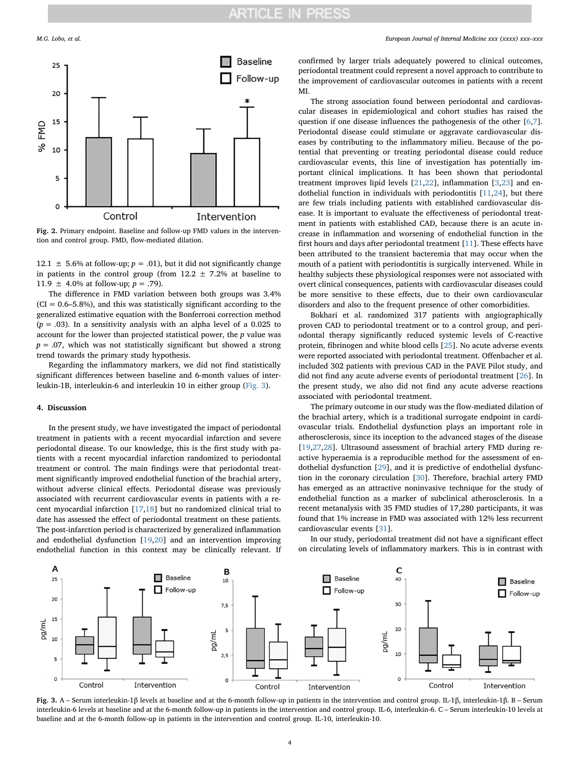<span id="page-3-0"></span>

Fig. 2. Primary endpoint. Baseline and follow-up FMD values in the intervention and control group. FMD, flow-mediated dilation.

12.1  $\pm$  5.6% at follow-up;  $p = .01$ ), but it did not significantly change in patients in the control group (from  $12.2 \pm 7.2$ % at baseline to 11.9  $\pm$  4.0% at follow-up;  $p = .79$ ).

The difference in FMD variation between both groups was 3.4%  $(CI = 0.6 - 5.8\%)$ , and this was statistically significant according to the generalized estimative equation with the Bonferroni correction method  $(p = .03)$ . In a sensitivity analysis with an alpha level of a 0.025 to account for the lower than projected statistical power, the  $p$  value was  $p = .07$ , which was not statistically significant but showed a strong trend towards the primary study hypothesis.

Regarding the inflammatory markers, we did not find statistically significant differences between baseline and 6-month values of interleukin-1B, interleukin-6 and interleukin 10 in either group ([Fig. 3\)](#page-3-1).

#### 4. Discussion

In the present study, we have investigated the impact of periodontal treatment in patients with a recent myocardial infarction and severe periodontal disease. To our knowledge, this is the first study with patients with a recent myocardial infarction randomized to periodontal treatment or control. The main findings were that periodontal treatment significantly improved endothelial function of the brachial artery, without adverse clinical effects. Periodontal disease was previously associated with recurrent cardiovascular events in patients with a recent myocardial infarction [\[17](#page-4-13),[18\]](#page-4-14) but no randomized clinical trial to date has assessed the effect of periodontal treatment on these patients. The post-infarction period is characterized by generalized inflammation and endothelial dysfunction [\[19](#page-4-15),[20](#page-4-16)] and an intervention improving endothelial function in this context may be clinically relevant. If confirmed by larger trials adequately powered to clinical outcomes, periodontal treatment could represent a novel approach to contribute to the improvement of cardiovascular outcomes in patients with a recent MI.

The strong association found between periodontal and cardiovascular diseases in epidemiological and cohort studies has raised the question if one disease influences the pathogenesis of the other [[6](#page-4-5),[7](#page-4-17)]. Periodontal disease could stimulate or aggravate cardiovascular diseases by contributing to the inflammatory milieu. Because of the potential that preventing or treating periodontal disease could reduce cardiovascular events, this line of investigation has potentially important clinical implications. It has been shown that periodontal treatment improves lipid levels [\[21](#page-4-18),[22\]](#page-4-19), inflammation [\[3,](#page-4-2)[23](#page-4-20)] and endothelial function in individuals with periodontitis [[11,](#page-4-7)[24](#page-4-21)], but there are few trials including patients with established cardiovascular disease. It is important to evaluate the effectiveness of periodontal treatment in patients with established CAD, because there is an acute increase in inflammation and worsening of endothelial function in the first hours and days after periodontal treatment [[11\]](#page-4-7). These effects have been attributed to the transient bacteremia that may occur when the mouth of a patient with periodontitis is surgically intervened. While in healthy subjects these physiological responses were not associated with overt clinical consequences, patients with cardiovascular diseases could be more sensitive to these effects, due to their own cardiovascular disorders and also to the frequent presence of other comorbidities.

Bokhari et al. randomized 317 patients with angiographically proven CAD to periodontal treatment or to a control group, and periodontal therapy significantly reduced systemic levels of C-reactive protein, fibrinogen and white blood cells [[25\]](#page-4-22). No acute adverse events were reported associated with periodontal treatment. Offenbacher et al. included 302 patients with previous CAD in the PAVE Pilot study, and did not find any acute adverse events of periodontal treatment [[26\]](#page-4-23). In the present study, we also did not find any acute adverse reactions associated with periodontal treatment.

The primary outcome in our study was the flow-mediated dilation of the brachial artery, which is a traditional surrogate endpoint in cardiovascular trials. Endothelial dysfunction plays an important role in atherosclerosis, since its inception to the advanced stages of the disease [[19](#page-4-15)[,27](#page-4-24)[,28](#page-4-25)]. Ultrasound assessment of brachial artery FMD during reactive hyperaemia is a reproducible method for the assessment of endothelial dysfunction [\[29\]](#page-4-26), and it is predictive of endothelial dysfunction in the coronary circulation [\[30](#page-4-27)]. Therefore, brachial artery FMD has emerged as an attractive noninvasive technique for the study of endothelial function as a marker of subclinical atherosclerosis. In a recent metanalysis with 35 FMD studies of 17,280 participants, it was found that 1% increase in FMD was associated with 12% less recurrent cardiovascular events [\[31](#page-4-28)].

In our study, periodontal treatment did not have a significant effect on circulating levels of inflammatory markers. This is in contrast with

<span id="page-3-1"></span>

Fig. 3. A – Serum interleukin-1β levels at baseline and at the 6-month follow-up in patients in the intervention and control group. IL-1β, interleukin-1β. B – Serum interleukin-6 levels at baseline and at the 6-month follow-up in patients in the intervention and control group. IL-6, interleukin-6. C – Serum interleukin-10 levels at baseline and at the 6-month follow-up in patients in the intervention and control group. IL-10, interleukin-10.